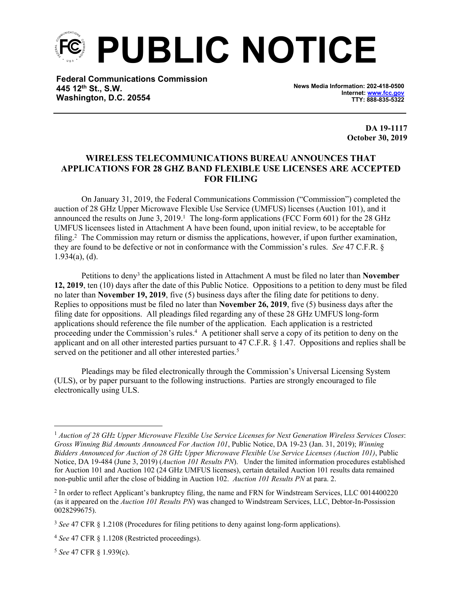**PUBLIC NOTICE**

**Federal Communications Commission 445 12th St., S.W. Washington, D.C. 20554**

**News Media Information: 202-418-0500 Internet: [www.fcc.gov](file:///C:/Users/craig.bomberger/AppData/Local/Microsoft/Windows/Temporary%20Internet%20Files/Content.Outlook/BCL5QM18/www.fcc.gov) TTY: 888-835-5322**

> **DA 19-1117 October 30, 2019**

## **WIRELESS TELECOMMUNICATIONS BUREAU ANNOUNCES THAT APPLICATIONS FOR 28 GHZ BAND FLEXIBLE USE LICENSES ARE ACCEPTED FOR FILING**

On January 31, 2019, the Federal Communications Commission ("Commission") completed the auction of 28 GHz Upper Microwave Flexible Use Service (UMFUS) licenses (Auction 101), and it announced the results on June 3,  $2019<sup>1</sup>$ . The long-form applications (FCC Form 601) for the 28 GHz UMFUS licensees listed in Attachment A have been found, upon initial review, to be acceptable for filing.<sup>2</sup> The Commission may return or dismiss the applications, however, if upon further examination, they are found to be defective or not in conformance with the Commission's rules. *See* 47 C.F.R. § 1.934(a), (d).

Petitions to deny<sup>3</sup> the applications listed in Attachment A must be filed no later than **November 12, 2019**, ten (10) days after the date of this Public Notice. Oppositions to a petition to deny must be filed no later than **November 19, 2019**, five (5) business days after the filing date for petitions to deny. Replies to oppositions must be filed no later than **November 26, 2019**, five (5) business days after the filing date for oppositions. All pleadings filed regarding any of these 28 GHz UMFUS long-form applications should reference the file number of the application. Each application is a restricted proceeding under the Commission's rules.<sup>4</sup> A petitioner shall serve a copy of its petition to deny on the applicant and on all other interested parties pursuant to 47 C.F.R. § 1.47. Oppositions and replies shall be served on the petitioner and all other interested parties.<sup>5</sup>

Pleadings may be filed electronically through the Commission's Universal Licensing System (ULS), or by paper pursuant to the following instructions. Parties are strongly encouraged to file electronically using ULS.

<sup>5</sup> *See* 47 CFR § 1.939(c).

<sup>1</sup> *Auction of 28 GHz Upper Microwave Flexible Use Service Licenses for Next Generation Wireless Services Closes*: *Gross Winning Bid Amounts Announced For Auction 101*, Public Notice, DA 19-23 (Jan. 31, 2019); *Winning Bidders Announced for Auction of 28 GHz Upper Microwave Flexible Use Service Licenses (Auction 101)*, Public Notice, DA 19-484 (June 3, 2019) (*Auction 101 Results PN*). Under the limited information procedures established for Auction 101 and Auction 102 (24 GHz UMFUS licenses), certain detailed Auction 101 results data remained non-public until after the close of bidding in Auction 102. *Auction 101 Results PN* at para. 2.

<sup>&</sup>lt;sup>2</sup> In order to reflect Applicant's bankruptcy filing, the name and FRN for Windstream Services, LLC 0014400220 (as it appeared on the *Auction 101 Results PN*) was changed to Windstream Services, LLC, Debtor-In-Possission 0028299675).

<sup>3</sup> *See* 47 CFR § 1.2108 (Procedures for filing petitions to deny against long-form applications).

<sup>4</sup> *See* 47 CFR § 1.1208 (Restricted proceedings).